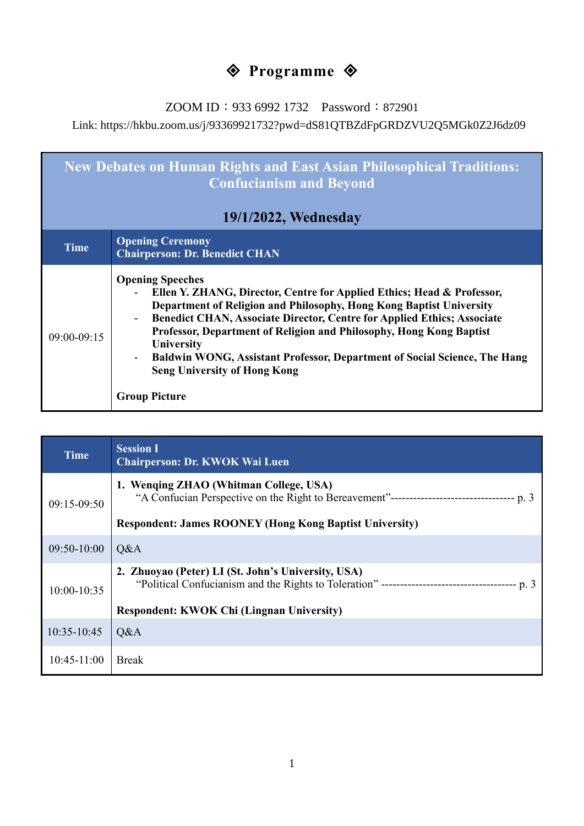# **◆ Programme ◆**

ZOOM ID: 933 6992 1732 Password: 872901

Link: https://hkbu.zoom.us/j/93369921732?pwd=dS81QTBZdFpGRDZVU2Q5MGk0Z2J6dz09

| <b>New Debates on Human Rights and East Asian Philosophical Traditions:</b><br><b>Confucianism and Beyond</b> |                                                                                                                                                                                                                                                                                                                                                                                                                                                                                                               |  |
|---------------------------------------------------------------------------------------------------------------|---------------------------------------------------------------------------------------------------------------------------------------------------------------------------------------------------------------------------------------------------------------------------------------------------------------------------------------------------------------------------------------------------------------------------------------------------------------------------------------------------------------|--|
| 19/1/2022, Wednesday                                                                                          |                                                                                                                                                                                                                                                                                                                                                                                                                                                                                                               |  |
| <b>Time</b>                                                                                                   | <b>Opening Ceremony</b><br><b>Chairperson: Dr. Benedict CHAN</b>                                                                                                                                                                                                                                                                                                                                                                                                                                              |  |
| $09:00 - 09:15$                                                                                               | <b>Opening Speeches</b><br>Ellen Y. ZHANG, Director, Centre for Applied Ethics; Head & Professor,<br>Department of Religion and Philosophy, Hong Kong Baptist University<br>Benedict CHAN, Associate Director, Centre for Applied Ethics; Associate<br>$\blacksquare$<br>Professor, Department of Religion and Philosophy, Hong Kong Baptist<br><b>University</b><br>Baldwin WONG, Assistant Professor, Department of Social Science, The Hang<br><b>Seng University of Hong Kong</b><br><b>Group Picture</b> |  |

| <b>Time</b>     | <b>Session I</b><br><b>Chairperson: Dr. KWOK Wai Luen</b>      |
|-----------------|----------------------------------------------------------------|
| $09:15-09:50$   | 1. Wenqing ZHAO (Whitman College, USA)                         |
|                 | <b>Respondent: James ROONEY (Hong Kong Baptist University)</b> |
| $09:50-10:00$   | Q&A                                                            |
| $10:00 - 10:35$ | 2. Zhuoyao (Peter) LI (St. John's University, USA)             |
|                 | <b>Respondent: KWOK Chi (Lingnan University)</b>               |
| $10:35 - 10:45$ | Q&A                                                            |
| $10:45 - 11:00$ | <b>Break</b>                                                   |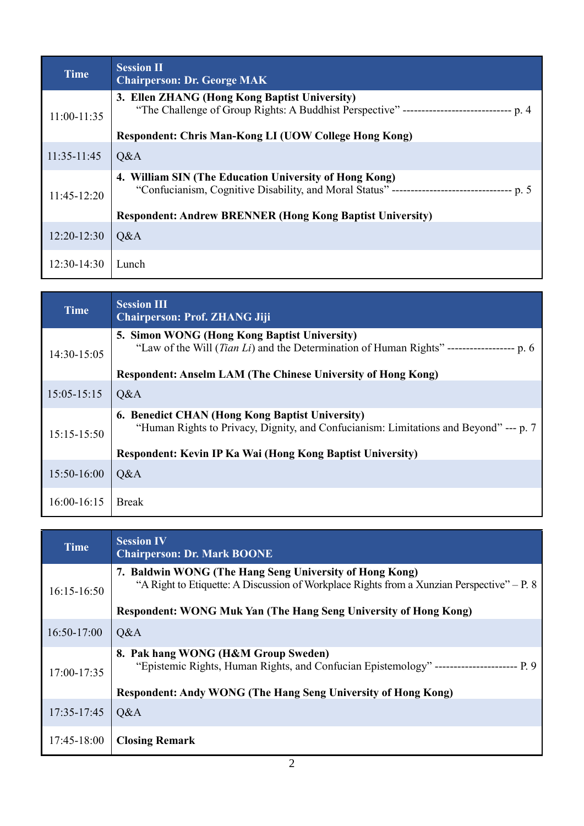| <b>Time</b>   | <b>Session II</b><br><b>Chairperson: Dr. George MAK</b>                                                                                      |
|---------------|----------------------------------------------------------------------------------------------------------------------------------------------|
| $11:00-11:35$ | 3. Ellen ZHANG (Hong Kong Baptist University)<br>"The Challenge of Group Rights: A Buddhist Perspective" ------------------------------ p. 4 |
|               | Respondent: Chris Man-Kong LI (UOW College Hong Kong)                                                                                        |
| $11:35-11:45$ | Q&A                                                                                                                                          |
| $11:45-12:20$ | 4. William SIN (The Education University of Hong Kong)<br><b>Respondent: Andrew BRENNER (Hong Kong Baptist University)</b>                   |
| $12:20-12:30$ | Q&A                                                                                                                                          |
| $12:30-14:30$ | Lunch                                                                                                                                        |

| <b>Time</b>     | <b>Session III</b><br><b>Chairperson: Prof. ZHANG Jiji</b>                                                                                        |
|-----------------|---------------------------------------------------------------------------------------------------------------------------------------------------|
| 14:30-15:05     | 5. Simon WONG (Hong Kong Baptist University)<br>"Law of the Will <i>(Tian Li)</i> and the Determination of Human Rights" ------------------- p. 6 |
|                 | <b>Respondent: Anselm LAM (The Chinese University of Hong Kong)</b>                                                                               |
| $15:05 - 15:15$ | Q&A                                                                                                                                               |
| $15:15-15:50$   | <b>6. Benedict CHAN (Hong Kong Baptist University)</b><br>"Human Rights to Privacy, Dignity, and Confucianism: Limitations and Beyond" --- p. 7   |
|                 | <b>Respondent: Kevin IP Ka Wai (Hong Kong Baptist University)</b>                                                                                 |
| $15:50-16:00$   | Q&A                                                                                                                                               |
| $16:00-16:15$   | <b>Break</b>                                                                                                                                      |

| <b>Time</b>   | <b>Session IV</b><br><b>Chairperson: Dr. Mark BOONE</b>                                                                                                                                                    |
|---------------|------------------------------------------------------------------------------------------------------------------------------------------------------------------------------------------------------------|
| $16:15-16:50$ | 7. Baldwin WONG (The Hang Seng University of Hong Kong)<br>"A Right to Etiquette: A Discussion of Workplace Rights from a Xunzian Perspective" – P. 8                                                      |
|               | Respondent: WONG Muk Yan (The Hang Seng University of Hong Kong)                                                                                                                                           |
| $16:50-17:00$ | Q&A                                                                                                                                                                                                        |
| 17:00-17:35   | 8. Pak hang WONG (H&M Group Sweden)<br>"Epistemic Rights, Human Rights, and Confucian Epistemology" ------------------------- P. 9<br><b>Respondent: Andy WONG (The Hang Seng University of Hong Kong)</b> |
| 17:35-17:45   | Q&A                                                                                                                                                                                                        |
| 17:45-18:00   | <b>Closing Remark</b>                                                                                                                                                                                      |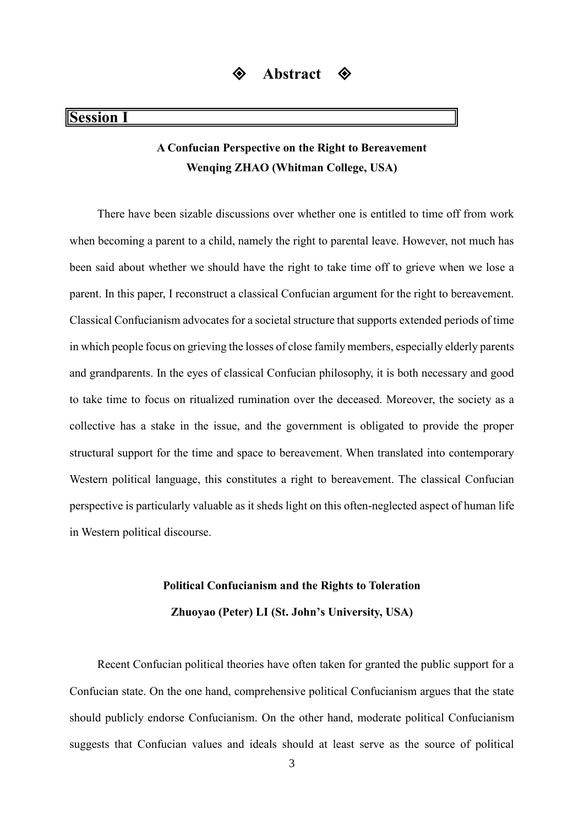### **Session I**

### **A Confucian Perspective on the Right to Bereavement Wenqing ZHAO (Whitman College, USA)**

There have been sizable discussions over whether one is entitled to time off from work when becoming a parent to a child, namely the right to parental leave. However, not much has been said about whether we should have the right to take time off to grieve when we lose a parent. In this paper, I reconstruct a classical Confucian argument for the right to bereavement. Classical Confucianism advocates for a societal structure that supports extended periods of time in which people focus on grieving the losses of close family members, especially elderly parents and grandparents. In the eyes of classical Confucian philosophy, it is both necessary and good to take time to focus on ritualized rumination over the deceased. Moreover, the society as a collective has a stake in the issue, and the government is obligated to provide the proper structural support for the time and space to bereavement. When translated into contemporary Western political language, this constitutes a right to bereavement. The classical Confucian perspective is particularly valuable as it sheds light on this often-neglected aspect of human life in Western political discourse.

# **Political Confucianism and the Rights to Toleration**

**Zhuoyao (Peter) LI (St. John's University, USA)**

Recent Confucian political theories have often taken for granted the public support for a Confucian state. On the one hand, comprehensive political Confucianism argues that the state should publicly endorse Confucianism. On the other hand, moderate political Confucianism suggests that Confucian values and ideals should at least serve as the source of political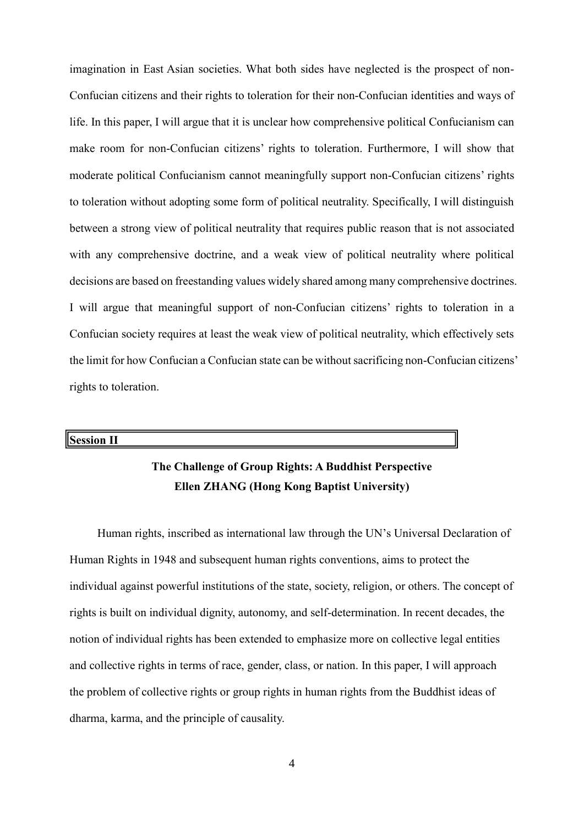imagination in East Asian societies. What both sides have neglected is the prospect of non-Confucian citizens and their rights to toleration for their non-Confucian identities and ways of life. In this paper, I will argue that it is unclear how comprehensive political Confucianism can make room for non-Confucian citizens' rights to toleration. Furthermore, I will show that moderate political Confucianism cannot meaningfully support non-Confucian citizens' rights to toleration without adopting some form of political neutrality. Specifically, I will distinguish between a strong view of political neutrality that requires public reason that is not associated with any comprehensive doctrine, and a weak view of political neutrality where political decisions are based on freestanding values widely shared among many comprehensive doctrines. I will argue that meaningful support of non-Confucian citizens' rights to toleration in a Confucian society requires at least the weak view of political neutrality, which effectively sets the limit for how Confucian a Confucian state can be without sacrificing non-Confucian citizens' rights to toleration.

#### **Session II**

### **The Challenge of Group Rights: A Buddhist Perspective Ellen ZHANG (Hong Kong Baptist University)**

Human rights, inscribed as international law through the UN's Universal Declaration of Human Rights in 1948 and subsequent human rights conventions, aims to protect the individual against powerful institutions of the state, society, religion, or others. The concept of rights is built on individual dignity, autonomy, and self-determination. In recent decades, the notion of individual rights has been extended to emphasize more on collective legal entities and collective rights in terms of race, gender, class, or nation. In this paper, I will approach the problem of collective rights or group rights in human rights from the Buddhist ideas of dharma, karma, and the principle of causality.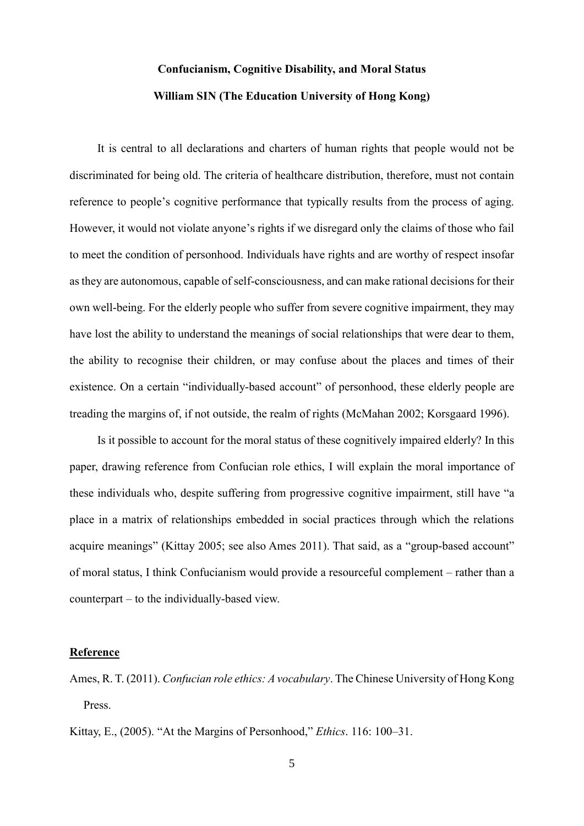# **Confucianism, Cognitive Disability, and Moral Status William SIN (The Education University of Hong Kong)**

It is central to all declarations and charters of human rights that people would not be discriminated for being old. The criteria of healthcare distribution, therefore, must not contain reference to people's cognitive performance that typically results from the process of aging. However, it would not violate anyone's rights if we disregard only the claims of those who fail to meet the condition of personhood. Individuals have rights and are worthy of respect insofar as they are autonomous, capable of self-consciousness, and can make rational decisions for their own well-being. For the elderly people who suffer from severe cognitive impairment, they may have lost the ability to understand the meanings of social relationships that were dear to them, the ability to recognise their children, or may confuse about the places and times of their existence. On a certain "individually-based account" of personhood, these elderly people are treading the margins of, if not outside, the realm of rights (McMahan 2002; Korsgaard 1996).

Is it possible to account for the moral status of these cognitively impaired elderly? In this paper, drawing reference from Confucian role ethics, I will explain the moral importance of these individuals who, despite suffering from progressive cognitive impairment, still have "a place in a matrix of relationships embedded in social practices through which the relations acquire meanings" (Kittay 2005; see also Ames 2011). That said, as a "group-based account" of moral status, I think Confucianism would provide a resourceful complement – rather than a counterpart – to the individually-based view.

#### **Reference**

Ames, R. T. (2011). *Confucian role ethics: A vocabulary*. The Chinese University of Hong Kong Press.

Kittay, E., (2005). "At the Margins of Personhood," *Ethics*. 116: 100–31.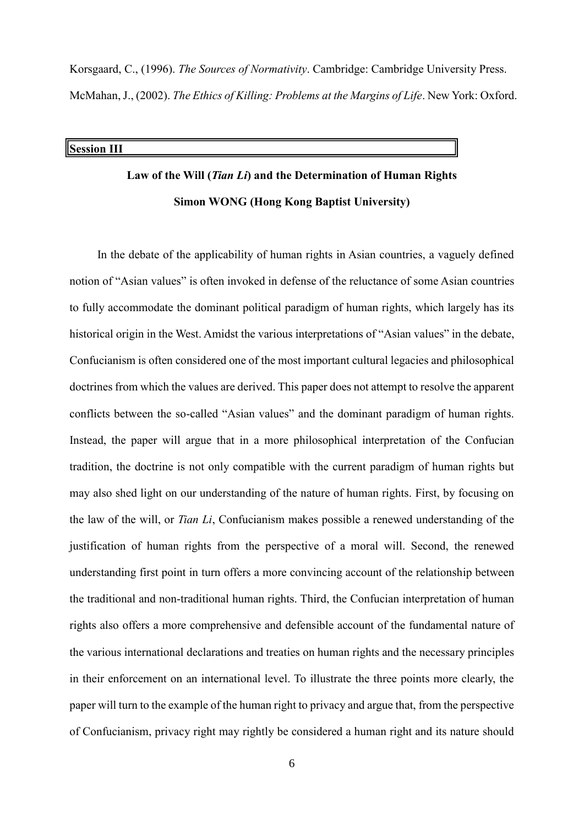Korsgaard, C., (1996). *The Sources of Normativity*. Cambridge: Cambridge University Press. McMahan, J., (2002). *The Ethics of Killing: Problems at the Margins of Life*. New York: Oxford.

#### **Session III**

## **Law of the Will (***Tian Li***) and the Determination of Human Rights Simon WONG (Hong Kong Baptist University)**

In the debate of the applicability of human rights in Asian countries, a vaguely defined notion of "Asian values" is often invoked in defense of the reluctance of some Asian countries to fully accommodate the dominant political paradigm of human rights, which largely has its historical origin in the West. Amidst the various interpretations of "Asian values" in the debate, Confucianism is often considered one of the most important cultural legacies and philosophical doctrines from which the values are derived. This paper does not attempt to resolve the apparent conflicts between the so-called "Asian values" and the dominant paradigm of human rights. Instead, the paper will argue that in a more philosophical interpretation of the Confucian tradition, the doctrine is not only compatible with the current paradigm of human rights but may also shed light on our understanding of the nature of human rights. First, by focusing on the law of the will, or *Tian Li*, Confucianism makes possible a renewed understanding of the justification of human rights from the perspective of a moral will. Second, the renewed understanding first point in turn offers a more convincing account of the relationship between the traditional and non-traditional human rights. Third, the Confucian interpretation of human rights also offers a more comprehensive and defensible account of the fundamental nature of the various international declarations and treaties on human rights and the necessary principles in their enforcement on an international level. To illustrate the three points more clearly, the paper will turn to the example of the human right to privacy and argue that, from the perspective of Confucianism, privacy right may rightly be considered a human right and its nature should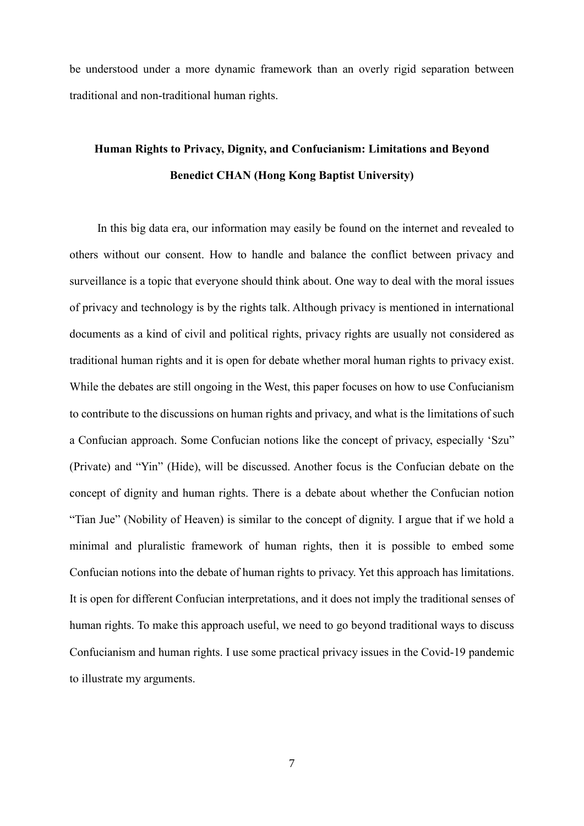be understood under a more dynamic framework than an overly rigid separation between traditional and non-traditional human rights.

### **Human Rights to Privacy, Dignity, and Confucianism: Limitations and Beyond Benedict CHAN (Hong Kong Baptist University)**

In this big data era, our information may easily be found on the internet and revealed to others without our consent. How to handle and balance the conflict between privacy and surveillance is a topic that everyone should think about. One way to deal with the moral issues of privacy and technology is by the rights talk. Although privacy is mentioned in international documents as a kind of civil and political rights, privacy rights are usually not considered as traditional human rights and it is open for debate whether moral human rights to privacy exist. While the debates are still ongoing in the West, this paper focuses on how to use Confucianism to contribute to the discussions on human rights and privacy, and what is the limitations of such a Confucian approach. Some Confucian notions like the concept of privacy, especially 'Szu" (Private) and "Yin" (Hide), will be discussed. Another focus is the Confucian debate on the concept of dignity and human rights. There is a debate about whether the Confucian notion "Tian Jue" (Nobility of Heaven) is similar to the concept of dignity. I argue that if we hold a minimal and pluralistic framework of human rights, then it is possible to embed some Confucian notions into the debate of human rights to privacy. Yet this approach has limitations. It is open for different Confucian interpretations, and it does not imply the traditional senses of human rights. To make this approach useful, we need to go beyond traditional ways to discuss Confucianism and human rights. I use some practical privacy issues in the Covid-19 pandemic to illustrate my arguments.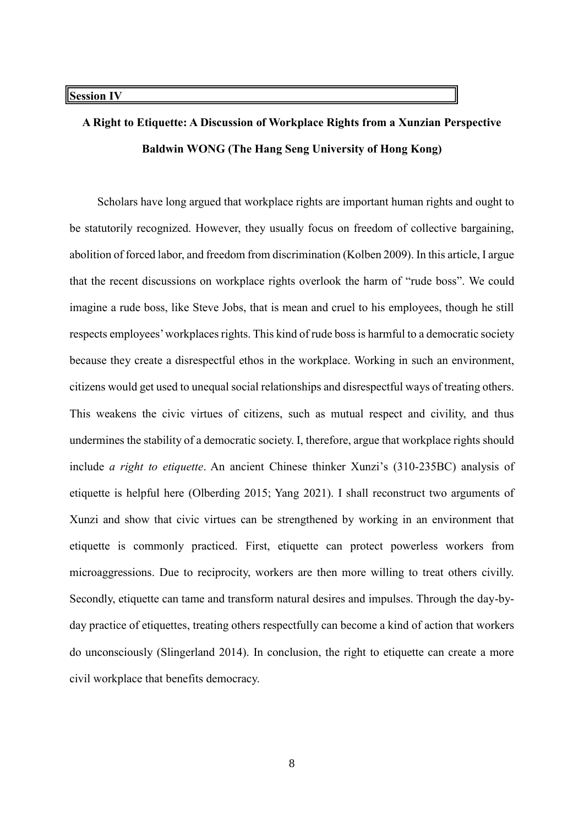# **A Right to Etiquette: A Discussion of Workplace Rights from a Xunzian Perspective Baldwin WONG (The Hang Seng University of Hong Kong)**

Scholars have long argued that workplace rights are important human rights and ought to be statutorily recognized. However, they usually focus on freedom of collective bargaining, abolition of forced labor, and freedom from discrimination (Kolben 2009). In this article, I argue that the recent discussions on workplace rights overlook the harm of "rude boss". We could imagine a rude boss, like Steve Jobs, that is mean and cruel to his employees, though he still respects employees' workplaces rights. This kind of rude boss is harmful to a democratic society because they create a disrespectful ethos in the workplace. Working in such an environment, citizens would get used to unequal social relationships and disrespectful ways of treating others. This weakens the civic virtues of citizens, such as mutual respect and civility, and thus undermines the stability of a democratic society. I, therefore, argue that workplace rights should include *a right to etiquette*. An ancient Chinese thinker Xunzi's (310-235BC) analysis of etiquette is helpful here (Olberding 2015; Yang 2021). I shall reconstruct two arguments of Xunzi and show that civic virtues can be strengthened by working in an environment that etiquette is commonly practiced. First, etiquette can protect powerless workers from microaggressions. Due to reciprocity, workers are then more willing to treat others civilly. Secondly, etiquette can tame and transform natural desires and impulses. Through the day-byday practice of etiquettes, treating others respectfully can become a kind of action that workers do unconsciously (Slingerland 2014). In conclusion, the right to etiquette can create a more civil workplace that benefits democracy.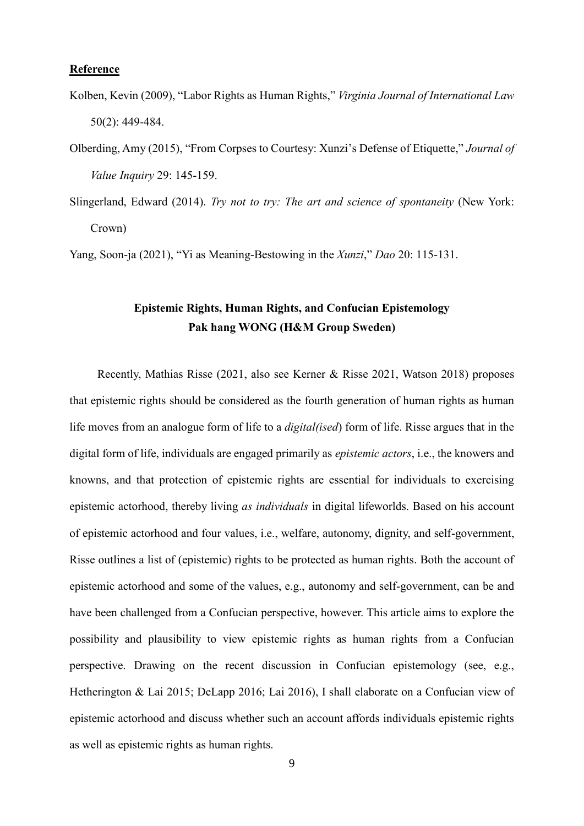#### **Reference**

- Kolben, Kevin (2009), "Labor Rights as Human Rights," *Virginia Journal of International Law* 50(2): 449-484.
- Olberding, Amy (2015), "From Corpses to Courtesy: Xunzi's Defense of Etiquette," *Journal of Value Inquiry* 29: 145-159.
- Slingerland, Edward (2014). *Try not to try: The art and science of spontaneity* (New York: Crown)

Yang, Soon-ja (2021), "Yi as Meaning-Bestowing in the *Xunzi*," *Dao* 20: 115-131.

### **Epistemic Rights, Human Rights, and Confucian Epistemology Pak hang WONG (H&M Group Sweden)**

Recently, Mathias Risse (2021, also see Kerner & Risse 2021, Watson 2018) proposes that epistemic rights should be considered as the fourth generation of human rights as human life moves from an analogue form of life to a *digital(ised*) form of life. Risse argues that in the digital form of life, individuals are engaged primarily as *epistemic actors*, i.e., the knowers and knowns, and that protection of epistemic rights are essential for individuals to exercising epistemic actorhood, thereby living *as individuals* in digital lifeworlds. Based on his account of epistemic actorhood and four values, i.e., welfare, autonomy, dignity, and self-government, Risse outlines a list of (epistemic) rights to be protected as human rights. Both the account of epistemic actorhood and some of the values, e.g., autonomy and self-government, can be and have been challenged from a Confucian perspective, however. This article aims to explore the possibility and plausibility to view epistemic rights as human rights from a Confucian perspective. Drawing on the recent discussion in Confucian epistemology (see, e.g., Hetherington & Lai 2015; DeLapp 2016; Lai 2016), I shall elaborate on a Confucian view of epistemic actorhood and discuss whether such an account affords individuals epistemic rights as well as epistemic rights as human rights.